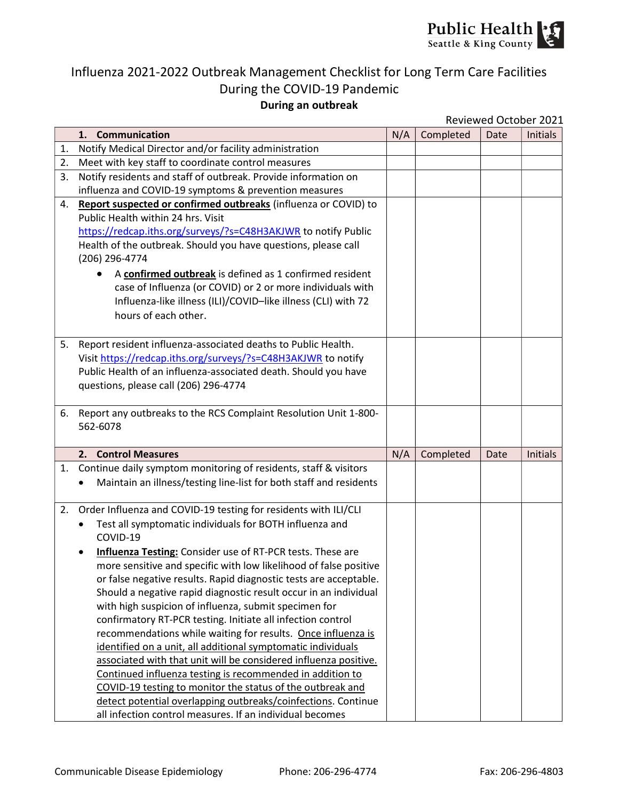

## Influenza 2021-2022 Outbreak Management Checklist for Long Term Care Facilities During the COVID-19 Pandemic During an outbreak

| Reviewed October 2021 |
|-----------------------|
|                       |

| 1. Communication<br>N/A<br>Completed<br>Notify Medical Director and/or facility administration<br>1.<br>Meet with key staff to coordinate control measures<br>2.<br>Notify residents and staff of outbreak. Provide information on<br>3.<br>influenza and COVID-19 symptoms & prevention measures<br>Report suspected or confirmed outbreaks (influenza or COVID) to<br>4.<br>Public Health within 24 hrs. Visit<br>https://redcap.iths.org/surveys/?s=C48H3AKJWR to notify Public<br>Health of the outbreak. Should you have questions, please call<br>(206) 296-4774<br>A confirmed outbreak is defined as 1 confirmed resident<br>case of Influenza (or COVID) or 2 or more individuals with<br>Influenza-like illness (ILI)/COVID-like illness (CLI) with 72<br>hours of each other.<br>Report resident influenza-associated deaths to Public Health.<br>5.<br>Visit https://redcap.iths.org/surveys/?s=C48H3AKJWR to notify<br>Public Health of an influenza-associated death. Should you have<br>questions, please call (206) 296-4774<br>Report any outbreaks to the RCS Complaint Resolution Unit 1-800-<br>6.<br>562-6078<br>N/A<br>Completed<br>2.<br><b>Control Measures</b> | Date<br><b>Initials</b> |  |                                                                   |
|-----------------------------------------------------------------------------------------------------------------------------------------------------------------------------------------------------------------------------------------------------------------------------------------------------------------------------------------------------------------------------------------------------------------------------------------------------------------------------------------------------------------------------------------------------------------------------------------------------------------------------------------------------------------------------------------------------------------------------------------------------------------------------------------------------------------------------------------------------------------------------------------------------------------------------------------------------------------------------------------------------------------------------------------------------------------------------------------------------------------------------------------------------------------------------------------|-------------------------|--|-------------------------------------------------------------------|
|                                                                                                                                                                                                                                                                                                                                                                                                                                                                                                                                                                                                                                                                                                                                                                                                                                                                                                                                                                                                                                                                                                                                                                                         |                         |  |                                                                   |
|                                                                                                                                                                                                                                                                                                                                                                                                                                                                                                                                                                                                                                                                                                                                                                                                                                                                                                                                                                                                                                                                                                                                                                                         |                         |  |                                                                   |
|                                                                                                                                                                                                                                                                                                                                                                                                                                                                                                                                                                                                                                                                                                                                                                                                                                                                                                                                                                                                                                                                                                                                                                                         |                         |  |                                                                   |
|                                                                                                                                                                                                                                                                                                                                                                                                                                                                                                                                                                                                                                                                                                                                                                                                                                                                                                                                                                                                                                                                                                                                                                                         |                         |  |                                                                   |
|                                                                                                                                                                                                                                                                                                                                                                                                                                                                                                                                                                                                                                                                                                                                                                                                                                                                                                                                                                                                                                                                                                                                                                                         |                         |  |                                                                   |
|                                                                                                                                                                                                                                                                                                                                                                                                                                                                                                                                                                                                                                                                                                                                                                                                                                                                                                                                                                                                                                                                                                                                                                                         |                         |  |                                                                   |
|                                                                                                                                                                                                                                                                                                                                                                                                                                                                                                                                                                                                                                                                                                                                                                                                                                                                                                                                                                                                                                                                                                                                                                                         |                         |  |                                                                   |
|                                                                                                                                                                                                                                                                                                                                                                                                                                                                                                                                                                                                                                                                                                                                                                                                                                                                                                                                                                                                                                                                                                                                                                                         |                         |  |                                                                   |
|                                                                                                                                                                                                                                                                                                                                                                                                                                                                                                                                                                                                                                                                                                                                                                                                                                                                                                                                                                                                                                                                                                                                                                                         |                         |  |                                                                   |
|                                                                                                                                                                                                                                                                                                                                                                                                                                                                                                                                                                                                                                                                                                                                                                                                                                                                                                                                                                                                                                                                                                                                                                                         |                         |  |                                                                   |
|                                                                                                                                                                                                                                                                                                                                                                                                                                                                                                                                                                                                                                                                                                                                                                                                                                                                                                                                                                                                                                                                                                                                                                                         |                         |  |                                                                   |
|                                                                                                                                                                                                                                                                                                                                                                                                                                                                                                                                                                                                                                                                                                                                                                                                                                                                                                                                                                                                                                                                                                                                                                                         |                         |  |                                                                   |
|                                                                                                                                                                                                                                                                                                                                                                                                                                                                                                                                                                                                                                                                                                                                                                                                                                                                                                                                                                                                                                                                                                                                                                                         |                         |  |                                                                   |
|                                                                                                                                                                                                                                                                                                                                                                                                                                                                                                                                                                                                                                                                                                                                                                                                                                                                                                                                                                                                                                                                                                                                                                                         |                         |  |                                                                   |
|                                                                                                                                                                                                                                                                                                                                                                                                                                                                                                                                                                                                                                                                                                                                                                                                                                                                                                                                                                                                                                                                                                                                                                                         |                         |  |                                                                   |
|                                                                                                                                                                                                                                                                                                                                                                                                                                                                                                                                                                                                                                                                                                                                                                                                                                                                                                                                                                                                                                                                                                                                                                                         |                         |  |                                                                   |
|                                                                                                                                                                                                                                                                                                                                                                                                                                                                                                                                                                                                                                                                                                                                                                                                                                                                                                                                                                                                                                                                                                                                                                                         |                         |  |                                                                   |
|                                                                                                                                                                                                                                                                                                                                                                                                                                                                                                                                                                                                                                                                                                                                                                                                                                                                                                                                                                                                                                                                                                                                                                                         |                         |  |                                                                   |
|                                                                                                                                                                                                                                                                                                                                                                                                                                                                                                                                                                                                                                                                                                                                                                                                                                                                                                                                                                                                                                                                                                                                                                                         |                         |  |                                                                   |
|                                                                                                                                                                                                                                                                                                                                                                                                                                                                                                                                                                                                                                                                                                                                                                                                                                                                                                                                                                                                                                                                                                                                                                                         |                         |  |                                                                   |
|                                                                                                                                                                                                                                                                                                                                                                                                                                                                                                                                                                                                                                                                                                                                                                                                                                                                                                                                                                                                                                                                                                                                                                                         |                         |  |                                                                   |
|                                                                                                                                                                                                                                                                                                                                                                                                                                                                                                                                                                                                                                                                                                                                                                                                                                                                                                                                                                                                                                                                                                                                                                                         |                         |  |                                                                   |
|                                                                                                                                                                                                                                                                                                                                                                                                                                                                                                                                                                                                                                                                                                                                                                                                                                                                                                                                                                                                                                                                                                                                                                                         | Date<br>Initials        |  |                                                                   |
| 1.                                                                                                                                                                                                                                                                                                                                                                                                                                                                                                                                                                                                                                                                                                                                                                                                                                                                                                                                                                                                                                                                                                                                                                                      |                         |  | Continue daily symptom monitoring of residents, staff & visitors  |
| Maintain an illness/testing line-list for both staff and residents<br>$\bullet$                                                                                                                                                                                                                                                                                                                                                                                                                                                                                                                                                                                                                                                                                                                                                                                                                                                                                                                                                                                                                                                                                                         |                         |  |                                                                   |
|                                                                                                                                                                                                                                                                                                                                                                                                                                                                                                                                                                                                                                                                                                                                                                                                                                                                                                                                                                                                                                                                                                                                                                                         |                         |  |                                                                   |
| 2.                                                                                                                                                                                                                                                                                                                                                                                                                                                                                                                                                                                                                                                                                                                                                                                                                                                                                                                                                                                                                                                                                                                                                                                      |                         |  |                                                                   |
|                                                                                                                                                                                                                                                                                                                                                                                                                                                                                                                                                                                                                                                                                                                                                                                                                                                                                                                                                                                                                                                                                                                                                                                         |                         |  |                                                                   |
| COVID-19                                                                                                                                                                                                                                                                                                                                                                                                                                                                                                                                                                                                                                                                                                                                                                                                                                                                                                                                                                                                                                                                                                                                                                                |                         |  |                                                                   |
|                                                                                                                                                                                                                                                                                                                                                                                                                                                                                                                                                                                                                                                                                                                                                                                                                                                                                                                                                                                                                                                                                                                                                                                         |                         |  |                                                                   |
|                                                                                                                                                                                                                                                                                                                                                                                                                                                                                                                                                                                                                                                                                                                                                                                                                                                                                                                                                                                                                                                                                                                                                                                         |                         |  |                                                                   |
|                                                                                                                                                                                                                                                                                                                                                                                                                                                                                                                                                                                                                                                                                                                                                                                                                                                                                                                                                                                                                                                                                                                                                                                         |                         |  |                                                                   |
|                                                                                                                                                                                                                                                                                                                                                                                                                                                                                                                                                                                                                                                                                                                                                                                                                                                                                                                                                                                                                                                                                                                                                                                         |                         |  |                                                                   |
|                                                                                                                                                                                                                                                                                                                                                                                                                                                                                                                                                                                                                                                                                                                                                                                                                                                                                                                                                                                                                                                                                                                                                                                         |                         |  |                                                                   |
| Should a negative rapid diagnostic result occur in an individual                                                                                                                                                                                                                                                                                                                                                                                                                                                                                                                                                                                                                                                                                                                                                                                                                                                                                                                                                                                                                                                                                                                        |                         |  |                                                                   |
| with high suspicion of influenza, submit specimen for                                                                                                                                                                                                                                                                                                                                                                                                                                                                                                                                                                                                                                                                                                                                                                                                                                                                                                                                                                                                                                                                                                                                   |                         |  |                                                                   |
| confirmatory RT-PCR testing. Initiate all infection control                                                                                                                                                                                                                                                                                                                                                                                                                                                                                                                                                                                                                                                                                                                                                                                                                                                                                                                                                                                                                                                                                                                             |                         |  |                                                                   |
| recommendations while waiting for results. Once influenza is                                                                                                                                                                                                                                                                                                                                                                                                                                                                                                                                                                                                                                                                                                                                                                                                                                                                                                                                                                                                                                                                                                                            |                         |  |                                                                   |
| identified on a unit, all additional symptomatic individuals                                                                                                                                                                                                                                                                                                                                                                                                                                                                                                                                                                                                                                                                                                                                                                                                                                                                                                                                                                                                                                                                                                                            |                         |  |                                                                   |
| associated with that unit will be considered influenza positive.                                                                                                                                                                                                                                                                                                                                                                                                                                                                                                                                                                                                                                                                                                                                                                                                                                                                                                                                                                                                                                                                                                                        |                         |  |                                                                   |
| Continued influenza testing is recommended in addition to                                                                                                                                                                                                                                                                                                                                                                                                                                                                                                                                                                                                                                                                                                                                                                                                                                                                                                                                                                                                                                                                                                                               |                         |  |                                                                   |
| COVID-19 testing to monitor the status of the outbreak and<br>detect potential overlapping outbreaks/coinfections. Continue                                                                                                                                                                                                                                                                                                                                                                                                                                                                                                                                                                                                                                                                                                                                                                                                                                                                                                                                                                                                                                                             |                         |  |                                                                   |
| Order Influenza and COVID-19 testing for residents with ILI/CLI<br>Test all symptomatic individuals for BOTH influenza and<br><b>Influenza Testing:</b> Consider use of RT-PCR tests. These are<br>more sensitive and specific with low likelihood of false positive                                                                                                                                                                                                                                                                                                                                                                                                                                                                                                                                                                                                                                                                                                                                                                                                                                                                                                                    |                         |  | or false negative results. Rapid diagnostic tests are acceptable. |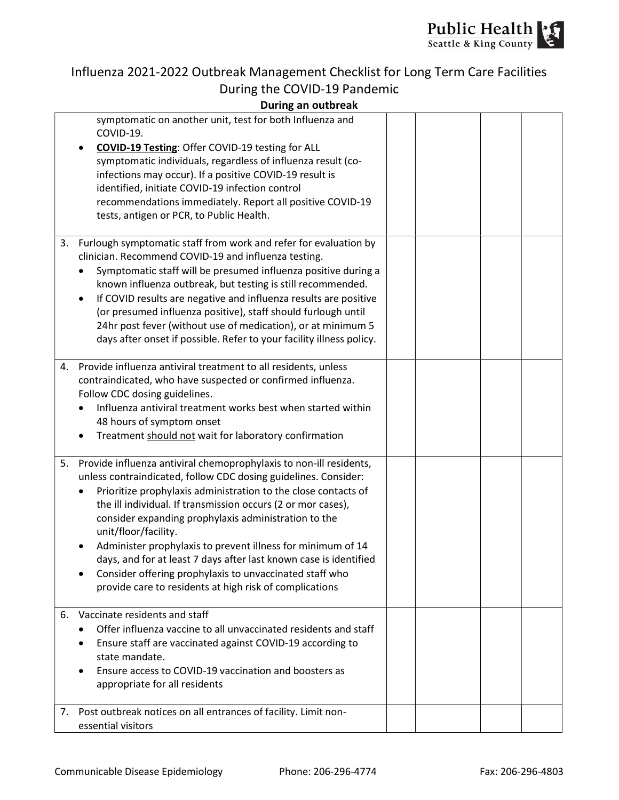

# Influenza 2021-2022 Outbreak Management Checklist for Long Term Care Facilities During the COVID-19 Pandemic

#### During an outbreak

|    | symptomatic on another unit, test for both Influenza and<br>COVID-19.<br><b>COVID-19 Testing: Offer COVID-19 testing for ALL</b><br>symptomatic individuals, regardless of influenza result (co-<br>infections may occur). If a positive COVID-19 result is<br>identified, initiate COVID-19 infection control<br>recommendations immediately. Report all positive COVID-19<br>tests, antigen or PCR, to Public Health.                                                                                                                                                                                           |  |  |
|----|-------------------------------------------------------------------------------------------------------------------------------------------------------------------------------------------------------------------------------------------------------------------------------------------------------------------------------------------------------------------------------------------------------------------------------------------------------------------------------------------------------------------------------------------------------------------------------------------------------------------|--|--|
| 3. | Furlough symptomatic staff from work and refer for evaluation by<br>clinician. Recommend COVID-19 and influenza testing.<br>Symptomatic staff will be presumed influenza positive during a<br>known influenza outbreak, but testing is still recommended.<br>If COVID results are negative and influenza results are positive<br>(or presumed influenza positive), staff should furlough until<br>24hr post fever (without use of medication), or at minimum 5<br>days after onset if possible. Refer to your facility illness policy.                                                                            |  |  |
|    | 4. Provide influenza antiviral treatment to all residents, unless<br>contraindicated, who have suspected or confirmed influenza.<br>Follow CDC dosing guidelines.<br>Influenza antiviral treatment works best when started within<br>48 hours of symptom onset<br>Treatment should not wait for laboratory confirmation                                                                                                                                                                                                                                                                                           |  |  |
| 5. | Provide influenza antiviral chemoprophylaxis to non-ill residents,<br>unless contraindicated, follow CDC dosing guidelines. Consider:<br>Prioritize prophylaxis administration to the close contacts of<br>the ill individual. If transmission occurs (2 or mor cases),<br>consider expanding prophylaxis administration to the<br>unit/floor/facility.<br>Administer prophylaxis to prevent illness for minimum of 14<br>days, and for at least 7 days after last known case is identified<br>Consider offering prophylaxis to unvaccinated staff who<br>provide care to residents at high risk of complications |  |  |
| 6. | Vaccinate residents and staff<br>Offer influenza vaccine to all unvaccinated residents and staff<br>Ensure staff are vaccinated against COVID-19 according to<br>state mandate.<br>Ensure access to COVID-19 vaccination and boosters as<br>appropriate for all residents                                                                                                                                                                                                                                                                                                                                         |  |  |
|    | 7. Post outbreak notices on all entrances of facility. Limit non-<br>essential visitors                                                                                                                                                                                                                                                                                                                                                                                                                                                                                                                           |  |  |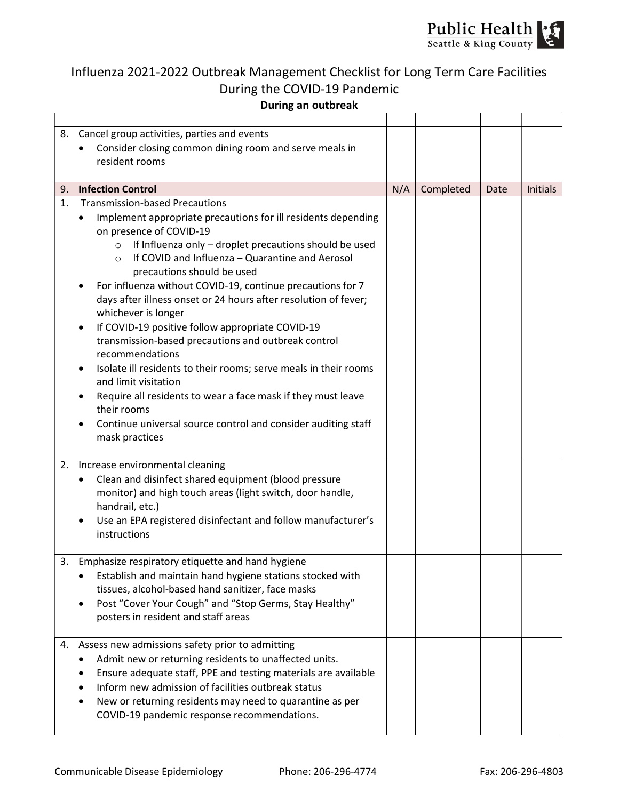

## Influenza 2021-2022 Outbreak Management Checklist for Long Term Care Facilities During the COVID-19 Pandemic During an outbreak

|    | 8. Cancel group activities, parties and events                                           |     |           |      |                 |
|----|------------------------------------------------------------------------------------------|-----|-----------|------|-----------------|
|    | Consider closing common dining room and serve meals in                                   |     |           |      |                 |
|    | resident rooms                                                                           |     |           |      |                 |
|    |                                                                                          |     |           |      |                 |
|    | 9. Infection Control                                                                     | N/A | Completed | Date | <b>Initials</b> |
| 1. | <b>Transmission-based Precautions</b>                                                    |     |           |      |                 |
|    | Implement appropriate precautions for ill residents depending                            |     |           |      |                 |
|    | on presence of COVID-19                                                                  |     |           |      |                 |
|    | If Influenza only - droplet precautions should be used<br>$\circ$                        |     |           |      |                 |
|    | If COVID and Influenza - Quarantine and Aerosol<br>$\circ$<br>precautions should be used |     |           |      |                 |
|    | For influenza without COVID-19, continue precautions for 7                               |     |           |      |                 |
|    | days after illness onset or 24 hours after resolution of fever;                          |     |           |      |                 |
|    | whichever is longer                                                                      |     |           |      |                 |
|    | If COVID-19 positive follow appropriate COVID-19                                         |     |           |      |                 |
|    | transmission-based precautions and outbreak control                                      |     |           |      |                 |
|    | recommendations                                                                          |     |           |      |                 |
|    | Isolate ill residents to their rooms; serve meals in their rooms                         |     |           |      |                 |
|    | and limit visitation                                                                     |     |           |      |                 |
|    | Require all residents to wear a face mask if they must leave                             |     |           |      |                 |
|    | their rooms                                                                              |     |           |      |                 |
|    | Continue universal source control and consider auditing staff                            |     |           |      |                 |
|    | mask practices                                                                           |     |           |      |                 |
| 2. | Increase environmental cleaning                                                          |     |           |      |                 |
|    | Clean and disinfect shared equipment (blood pressure                                     |     |           |      |                 |
|    | monitor) and high touch areas (light switch, door handle,                                |     |           |      |                 |
|    | handrail, etc.)                                                                          |     |           |      |                 |
|    | Use an EPA registered disinfectant and follow manufacturer's                             |     |           |      |                 |
|    | instructions                                                                             |     |           |      |                 |
|    |                                                                                          |     |           |      |                 |
| 3. | Emphasize respiratory etiquette and hand hygiene                                         |     |           |      |                 |
|    | Establish and maintain hand hygiene stations stocked with                                |     |           |      |                 |
|    | tissues, alcohol-based hand sanitizer, face masks                                        |     |           |      |                 |
|    | Post "Cover Your Cough" and "Stop Germs, Stay Healthy"                                   |     |           |      |                 |
|    | posters in resident and staff areas                                                      |     |           |      |                 |
|    | 4. Assess new admissions safety prior to admitting                                       |     |           |      |                 |
|    | Admit new or returning residents to unaffected units.                                    |     |           |      |                 |
|    | Ensure adequate staff, PPE and testing materials are available                           |     |           |      |                 |
|    | Inform new admission of facilities outbreak status                                       |     |           |      |                 |
|    | New or returning residents may need to quarantine as per                                 |     |           |      |                 |
|    | COVID-19 pandemic response recommendations.                                              |     |           |      |                 |
|    |                                                                                          |     |           |      |                 |